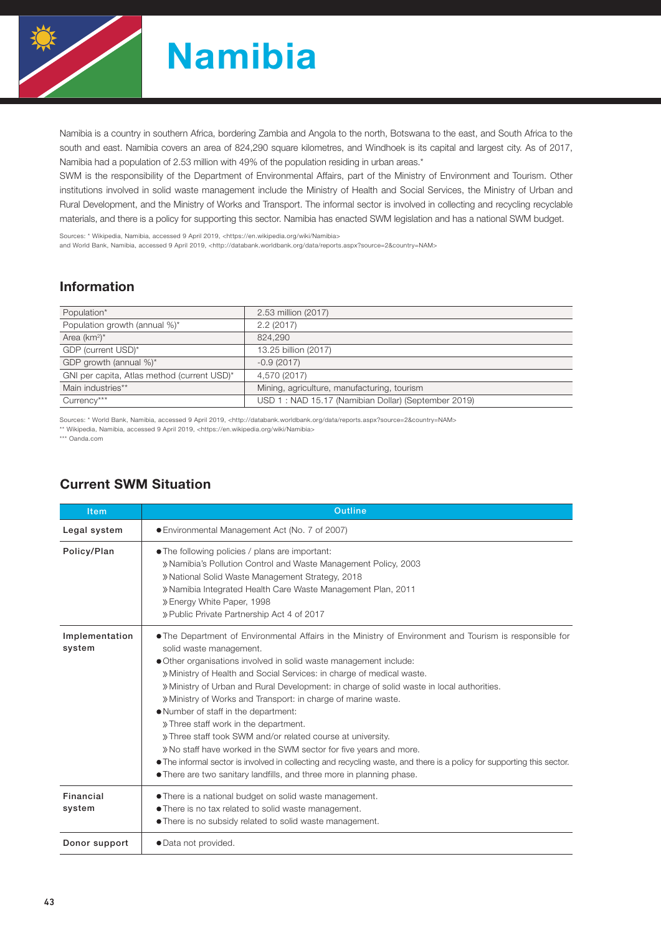

# Namibia

Namibia is a country in southern Africa, bordering Zambia and Angola to the north, Botswana to the east, and South Africa to the south and east. Namibia covers an area of 824,290 square kilometres, and Windhoek is its capital and largest city. As of 2017, Namibia had a population of 2.53 million with 49% of the population residing in urban areas.\*

SWM is the responsibility of the Department of Environmental Affairs, part of the Ministry of Environment and Tourism. Other institutions involved in solid waste management include the Ministry of Health and Social Services, the Ministry of Urban and Rural Development, and the Ministry of Works and Transport. The informal sector is involved in collecting and recycling recyclable materials, and there is a policy for supporting this sector. Namibia has enacted SWM legislation and has a national SWM budget.

Sources: \* Wikipedia, Namibia, accessed 9 April 2019, <https://en.wikipedia.org/wiki/Namibia>

and World Bank, Namibia, accessed 9 April 2019, <http://databank.worldbank.org/data/reports.aspx?source=2&country=NAM>

## Information

| Population*                                 | 2.53 million (2017)                                 |
|---------------------------------------------|-----------------------------------------------------|
| Population growth (annual %)*               | 2.2(2017)                                           |
| Area $(km^2)^*$                             | 824,290                                             |
| GDP (current USD)*                          | 13.25 billion (2017)                                |
| GDP growth (annual %)*                      | $-0.9(2017)$                                        |
| GNI per capita, Atlas method (current USD)* | 4,570 (2017)                                        |
| Main industries**                           | Mining, agriculture, manufacturing, tourism         |
| Currency***                                 | USD 1: NAD 15.17 (Namibian Dollar) (September 2019) |

Sources: \* World Bank, Namibia, accessed 9 April 2019, <http://databank.worldbank.org/data/reports.aspx?source=2&country=NAM>

\*\* Wikipedia, Namibia, accessed 9 April 2019, <https://en.wikipedia.org/wiki/Namibia>

\*\*\* Oanda.com

| <b>Item</b>              | Outline                                                                                                                                                                                                                                                                                                                                                                                                                                                                                                                                                                                                                                                                                                                                                                                                                                                                |  |  |  |  |  |
|--------------------------|------------------------------------------------------------------------------------------------------------------------------------------------------------------------------------------------------------------------------------------------------------------------------------------------------------------------------------------------------------------------------------------------------------------------------------------------------------------------------------------------------------------------------------------------------------------------------------------------------------------------------------------------------------------------------------------------------------------------------------------------------------------------------------------------------------------------------------------------------------------------|--|--|--|--|--|
| Legal system             | ● Environmental Management Act (No. 7 of 2007)                                                                                                                                                                                                                                                                                                                                                                                                                                                                                                                                                                                                                                                                                                                                                                                                                         |  |  |  |  |  |
| Policy/Plan              | • The following policies / plans are important:<br>» Namibia's Pollution Control and Waste Management Policy, 2003<br>» National Solid Waste Management Strategy, 2018<br>» Namibia Integrated Health Care Waste Management Plan, 2011<br>» Energy White Paper, 1998<br>» Public Private Partnership Act 4 of 2017                                                                                                                                                                                                                                                                                                                                                                                                                                                                                                                                                     |  |  |  |  |  |
| Implementation<br>system | . The Department of Environmental Affairs in the Ministry of Environment and Tourism is responsible for<br>solid waste management.<br>• Other organisations involved in solid waste management include:<br>» Ministry of Health and Social Services: in charge of medical waste.<br>» Ministry of Urban and Rural Development: in charge of solid waste in local authorities.<br>» Ministry of Works and Transport: in charge of marine waste.<br>. Number of staff in the department:<br>» Three staff work in the department.<br>» Three staff took SWM and/or related course at university.<br>» No staff have worked in the SWM sector for five years and more.<br>• The informal sector is involved in collecting and recycling waste, and there is a policy for supporting this sector.<br>• There are two sanitary landfills, and three more in planning phase. |  |  |  |  |  |
| Financial<br>system      | • There is a national budget on solid waste management.<br>. There is no tax related to solid waste management.<br>• There is no subsidy related to solid waste management.                                                                                                                                                                                                                                                                                                                                                                                                                                                                                                                                                                                                                                                                                            |  |  |  |  |  |
| Donor support            | · Data not provided.                                                                                                                                                                                                                                                                                                                                                                                                                                                                                                                                                                                                                                                                                                                                                                                                                                                   |  |  |  |  |  |

### Current SWM Situation